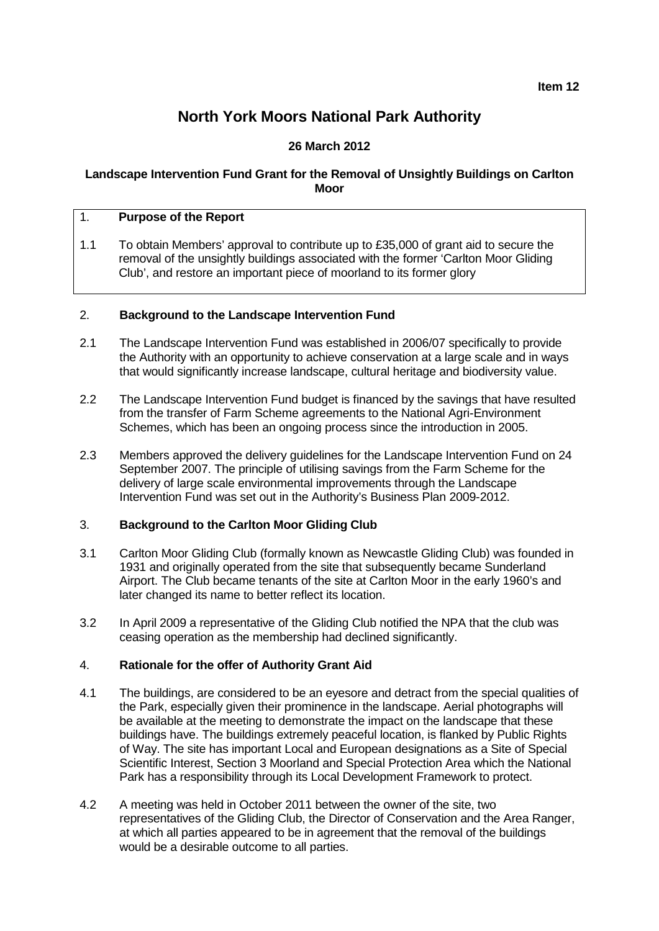**Item 12**

# **North York Moors National Park Authority**

# **26 March 2012**

## **Landscape Intervention Fund Grant for the Removal of Unsightly Buildings on Carlton Moor**

# 1. **Purpose of the Report**

1.1 To obtain Members' approval to contribute up to £35,000 of grant aid to secure the removal of the unsightly buildings associated with the former 'Carlton Moor Gliding Club', and restore an important piece of moorland to its former glory

#### 2. **Background to the Landscape Intervention Fund**

- 2.1 The Landscape Intervention Fund was established in 2006/07 specifically to provide the Authority with an opportunity to achieve conservation at a large scale and in ways that would significantly increase landscape, cultural heritage and biodiversity value.
- 2.2 The Landscape Intervention Fund budget is financed by the savings that have resulted from the transfer of Farm Scheme agreements to the National Agri-Environment Schemes, which has been an ongoing process since the introduction in 2005.
- 2.3 Members approved the delivery guidelines for the Landscape Intervention Fund on 24 September 2007. The principle of utilising savings from the Farm Scheme for the delivery of large scale environmental improvements through the Landscape Intervention Fund was set out in the Authority's Business Plan 2009-2012.

#### 3. **Background to the Carlton Moor Gliding Club**

- 3.1 Carlton Moor Gliding Club (formally known as Newcastle Gliding Club) was founded in 1931 and originally operated from the site that subsequently became Sunderland Airport. The Club became tenants of the site at Carlton Moor in the early 1960's and later changed its name to better reflect its location.
- 3.2 In April 2009 a representative of the Gliding Club notified the NPA that the club was ceasing operation as the membership had declined significantly.

## 4. **Rationale for the offer of Authority Grant Aid**

- 4.1 The buildings, are considered to be an eyesore and detract from the special qualities of the Park, especially given their prominence in the landscape. Aerial photographs will be available at the meeting to demonstrate the impact on the landscape that these buildings have. The buildings extremely peaceful location, is flanked by Public Rights of Way. The site has important Local and European designations as a Site of Special Scientific Interest, Section 3 Moorland and Special Protection Area which the National Park has a responsibility through its Local Development Framework to protect.
- 4.2 A meeting was held in October 2011 between the owner of the site, two representatives of the Gliding Club, the Director of Conservation and the Area Ranger, at which all parties appeared to be in agreement that the removal of the buildings would be a desirable outcome to all parties.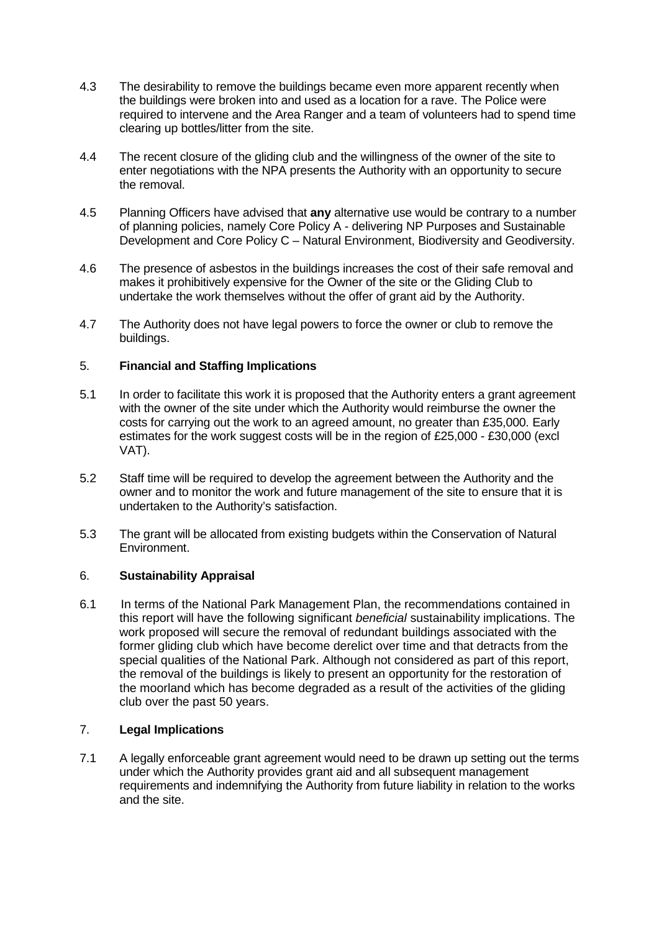- 4.3 The desirability to remove the buildings became even more apparent recently when the buildings were broken into and used as a location for a rave. The Police were required to intervene and the Area Ranger and a team of volunteers had to spend time clearing up bottles/litter from the site.
- 4.4 The recent closure of the gliding club and the willingness of the owner of the site to enter negotiations with the NPA presents the Authority with an opportunity to secure the removal.
- 4.5 Planning Officers have advised that **any** alternative use would be contrary to a number of planning policies, namely Core Policy A - delivering NP Purposes and Sustainable Development and Core Policy C – Natural Environment, Biodiversity and Geodiversity.
- 4.6 The presence of asbestos in the buildings increases the cost of their safe removal and makes it prohibitively expensive for the Owner of the site or the Gliding Club to undertake the work themselves without the offer of grant aid by the Authority.
- 4.7 The Authority does not have legal powers to force the owner or club to remove the buildings.

# 5. **Financial and Staffing Implications**

- 5.1 In order to facilitate this work it is proposed that the Authority enters a grant agreement with the owner of the site under which the Authority would reimburse the owner the costs for carrying out the work to an agreed amount, no greater than £35,000. Early estimates for the work suggest costs will be in the region of £25,000 - £30,000 (excl VAT).
- 5.2 Staff time will be required to develop the agreement between the Authority and the owner and to monitor the work and future management of the site to ensure that it is undertaken to the Authority's satisfaction.
- 5.3 The grant will be allocated from existing budgets within the Conservation of Natural Environment.

## 6. **Sustainability Appraisal**

6.1 In terms of the National Park Management Plan, the recommendations contained in this report will have the following significant *beneficial* sustainability implications. The work proposed will secure the removal of redundant buildings associated with the former gliding club which have become derelict over time and that detracts from the special qualities of the National Park. Although not considered as part of this report, the removal of the buildings is likely to present an opportunity for the restoration of the moorland which has become degraded as a result of the activities of the gliding club over the past 50 years.

## 7. **Legal Implications**

7.1 A legally enforceable grant agreement would need to be drawn up setting out the terms under which the Authority provides grant aid and all subsequent management requirements and indemnifying the Authority from future liability in relation to the works and the site.